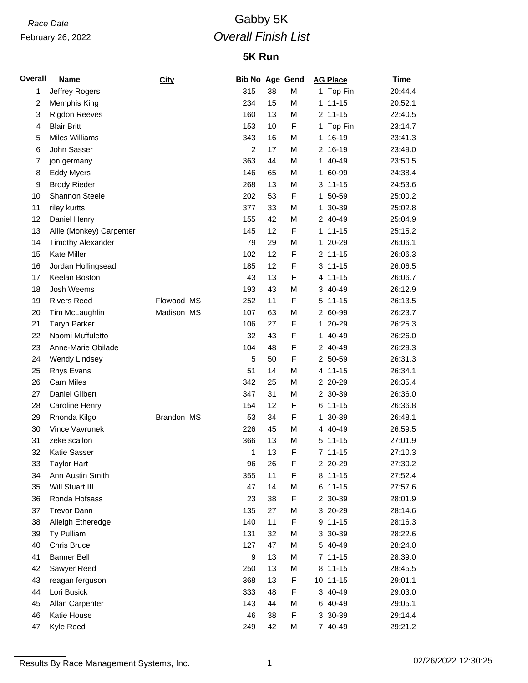# *Race Date* Gabby 5K *Overall Finish List*

## **5K Run**

| 20:44.4<br>1 Top Fin<br>$111-15$<br>20:52.1<br>$2$ 11-15<br>22:40.5<br>Top Fin<br>23:14.7<br>16-19<br>23:41.3<br>2 16-19<br>23:49.0<br>40-49<br>23:50.5<br>60-99<br>24:38.4<br>24:53.6<br>$3 11 - 15$<br>25:00.2<br>1 50-59<br>25:02.8<br>30-39<br>25:04.9<br>2 40-49<br>$11 - 15$<br>25:15.2<br>26:06.1<br>1 20-29<br>$2$ 11-15<br>26:06.3 |
|---------------------------------------------------------------------------------------------------------------------------------------------------------------------------------------------------------------------------------------------------------------------------------------------------------------------------------------------|
|                                                                                                                                                                                                                                                                                                                                             |
|                                                                                                                                                                                                                                                                                                                                             |
|                                                                                                                                                                                                                                                                                                                                             |
|                                                                                                                                                                                                                                                                                                                                             |
|                                                                                                                                                                                                                                                                                                                                             |
|                                                                                                                                                                                                                                                                                                                                             |
|                                                                                                                                                                                                                                                                                                                                             |
|                                                                                                                                                                                                                                                                                                                                             |
|                                                                                                                                                                                                                                                                                                                                             |
|                                                                                                                                                                                                                                                                                                                                             |
|                                                                                                                                                                                                                                                                                                                                             |
|                                                                                                                                                                                                                                                                                                                                             |
|                                                                                                                                                                                                                                                                                                                                             |
|                                                                                                                                                                                                                                                                                                                                             |
|                                                                                                                                                                                                                                                                                                                                             |
| $3 11 - 15$<br>26:06.5                                                                                                                                                                                                                                                                                                                      |
| 4 11-15<br>26:06.7                                                                                                                                                                                                                                                                                                                          |
| 26:12.9<br>3 40-49                                                                                                                                                                                                                                                                                                                          |
| 26:13.5<br>5 11-15                                                                                                                                                                                                                                                                                                                          |
| 26:23.7<br>2 60-99                                                                                                                                                                                                                                                                                                                          |
| 1 20-29<br>26:25.3                                                                                                                                                                                                                                                                                                                          |
| 40-49<br>26:26.0                                                                                                                                                                                                                                                                                                                            |
| 2 40-49<br>26:29.3                                                                                                                                                                                                                                                                                                                          |
| 26:31.3<br>2 50-59                                                                                                                                                                                                                                                                                                                          |
| 26:34.1<br>4 11-15                                                                                                                                                                                                                                                                                                                          |
| 26:35.4<br>2 20-29                                                                                                                                                                                                                                                                                                                          |
| 2 30-39<br>26:36.0                                                                                                                                                                                                                                                                                                                          |
| 26:36.8<br>$6 11 - 15$                                                                                                                                                                                                                                                                                                                      |
| 30-39<br>26:48.1                                                                                                                                                                                                                                                                                                                            |
| 26:59.5<br>4 40-49                                                                                                                                                                                                                                                                                                                          |
| 27:01.9<br>$5 11 - 15$                                                                                                                                                                                                                                                                                                                      |
| 27:10.3<br>$7 11 - 15$                                                                                                                                                                                                                                                                                                                      |
| 27:30.2<br>2 20-29                                                                                                                                                                                                                                                                                                                          |
| 8 11-15<br>27:52.4                                                                                                                                                                                                                                                                                                                          |
| 6 11-15<br>27:57.6                                                                                                                                                                                                                                                                                                                          |
| 2 30-39<br>28:01.9                                                                                                                                                                                                                                                                                                                          |
| 3 20-29<br>28:14.6                                                                                                                                                                                                                                                                                                                          |
| 9 11-15<br>28:16.3                                                                                                                                                                                                                                                                                                                          |
| 3 30-39<br>28:22.6                                                                                                                                                                                                                                                                                                                          |
| 28:24.0<br>5 40-49                                                                                                                                                                                                                                                                                                                          |
| 7 11-15<br>28:39.0                                                                                                                                                                                                                                                                                                                          |
| 8 11-15<br>28:45.5                                                                                                                                                                                                                                                                                                                          |
| 10 11-15<br>29:01.1                                                                                                                                                                                                                                                                                                                         |
| 3 40-49<br>29:03.0                                                                                                                                                                                                                                                                                                                          |
| 6 40-49<br>29:05.1                                                                                                                                                                                                                                                                                                                          |
|                                                                                                                                                                                                                                                                                                                                             |
| 3 30-39<br>29:14.4                                                                                                                                                                                                                                                                                                                          |
|                                                                                                                                                                                                                                                                                                                                             |

Results By Race Management Systems, Inc. 1 02/26/2022 12:30:25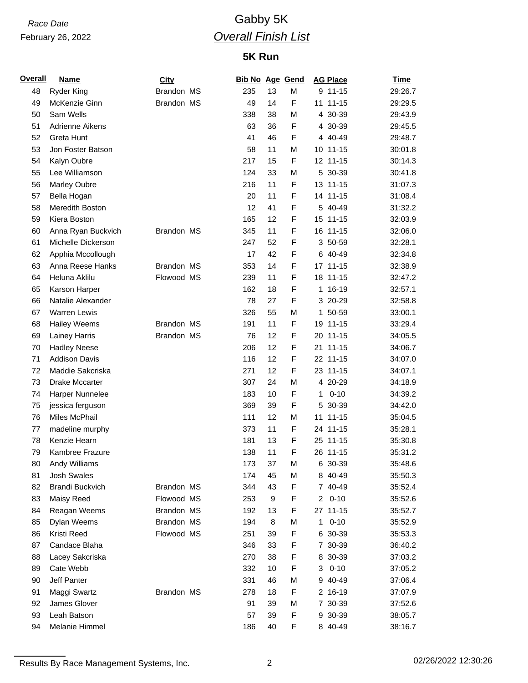# *Race Date* Gabby 5K *Overall Finish List*

## **5K Run**

| <u>Overall</u> | <b>Name</b>            | <b>City</b> |     |    | <b>Bib No Age Gend</b> |    | <b>AG Place</b> | <b>Time</b> |
|----------------|------------------------|-------------|-----|----|------------------------|----|-----------------|-------------|
| 48             | <b>Ryder King</b>      | Brandon MS  | 235 | 13 | M                      |    | 9 11-15         | 29:26.7     |
| 49             | McKenzie Ginn          | Brandon MS  | 49  | 14 | F                      |    | 11 11-15        | 29:29.5     |
| 50             | Sam Wells              |             | 338 | 38 | M                      |    | 4 30-39         | 29:43.9     |
| 51             | Adrienne Aikens        |             | 63  | 36 | F                      |    | 4 30-39         | 29:45.5     |
| 52             | Greta Hunt             |             | 41  | 46 | F                      |    | 4 40-49         | 29:48.7     |
| 53             | Jon Foster Batson      |             | 58  | 11 | M                      |    | 10 11-15        | 30:01.8     |
| 54             | Kalyn Oubre            |             | 217 | 15 | F                      |    | 12 11-15        | 30:14.3     |
| 55             | Lee Williamson         |             | 124 | 33 | M                      |    | 5 30-39         | 30:41.8     |
| 56             | Marley Oubre           |             | 216 | 11 | F                      |    | 13 11-15        | 31:07.3     |
| 57             | Bella Hogan            |             | 20  | 11 | F                      |    | 14 11-15        | 31:08.4     |
| 58             | Meredith Boston        |             | 12  | 41 | F                      |    | 5 40-49         | 31:32.2     |
| 59             | Kiera Boston           |             | 165 | 12 | F                      |    | 15 11-15        | 32:03.9     |
| 60             | Anna Ryan Buckvich     | Brandon MS  | 345 | 11 | F                      |    | 16 11-15        | 32:06.0     |
| 61             | Michelle Dickerson     |             | 247 | 52 | F                      |    | 3 50-59         | 32:28.1     |
| 62             | Apphia Mccollough      |             | 17  | 42 | F                      |    | 6 40-49         | 32:34.8     |
| 63             | Anna Reese Hanks       | Brandon MS  | 353 | 14 | F                      |    | 17 11-15        | 32:38.9     |
| 64             | Heluna Aklilu          | Flowood MS  | 239 | 11 | F                      |    | 18 11-15        | 32:47.2     |
| 65             | Karson Harper          |             | 162 | 18 | F                      |    | 1 16-19         | 32:57.1     |
| 66             | Natalie Alexander      |             | 78  | 27 | F                      |    | 3 20-29         | 32:58.8     |
| 67             | <b>Warren Lewis</b>    |             | 326 | 55 | M                      |    | 1 50-59         | 33:00.1     |
| 68             | <b>Hailey Weems</b>    | Brandon MS  | 191 | 11 | F                      |    | 19 11-15        | 33:29.4     |
| 69             | Lainey Harris          | Brandon MS  | 76  | 12 | F                      |    | 20 11-15        | 34:05.5     |
| 70             | <b>Hadley Neese</b>    |             | 206 | 12 | F                      | 21 | $11 - 15$       | 34:06.7     |
| 71             | <b>Addison Davis</b>   |             | 116 | 12 | F                      |    | 22 11-15        | 34:07.0     |
| 72             | Maddie Sakcriska       |             | 271 | 12 | F                      |    | 23 11-15        | 34:07.1     |
| 73             | Drake Mccarter         |             | 307 | 24 | M                      |    | 4 20-29         | 34:18.9     |
| 74             | Harper Nunnelee        |             | 183 | 10 | F                      | 1  | $0 - 10$        | 34:39.2     |
| 75             | jessica ferguson       |             | 369 | 39 | F                      |    | 5 30-39         | 34:42.0     |
| 76             | Miles McPhail          |             | 111 | 12 | M                      |    | 11 11-15        | 35:04.5     |
| 77             | madeline murphy        |             | 373 | 11 | F                      |    | 24 11-15        | 35:28.1     |
| 78             | Kenzie Hearn           |             | 181 | 13 | F                      |    | 25 11-15        | 35:30.8     |
| 79             | Kambree Frazure        |             | 138 | 11 | F                      |    | 26 11-15        | 35:31.2     |
| 80             | Andy Williams          |             | 173 | 37 | M                      |    | 6 30-39         | 35:48.6     |
| 81             | Josh Swales            |             | 174 | 45 | M                      |    | 8 40-49         | 35:50.3     |
| 82             | <b>Brandi Buckvich</b> | Brandon MS  | 344 | 43 | F                      |    | 7 40-49         | 35:52.4     |
| 83             | Maisy Reed             | Flowood MS  | 253 | 9  | F                      |    | $20 - 10$       | 35:52.6     |
| 84             | Reagan Weems           | Brandon MS  | 192 | 13 | F                      |    | 27 11-15        | 35:52.7     |
| 85             | Dylan Weems            | Brandon MS  | 194 | 8  | М                      | 1  | $0 - 10$        | 35:52.9     |
| 86             | Kristi Reed            | Flowood MS  | 251 | 39 | F                      |    | 6 30-39         | 35:53.3     |
| 87             | Candace Blaha          |             | 346 | 33 | F                      |    | 7 30-39         | 36:40.2     |
| 88             | Lacey Sakcriska        |             | 270 | 38 | F                      |    | 8 30-39         | 37:03.2     |
| 89             | Cate Webb              |             | 332 | 10 | F                      | 3  | $0 - 10$        | 37:05.2     |
| 90             | Jeff Panter            |             | 331 | 46 | М                      |    | 9 40-49         | 37:06.4     |
| 91             | Maggi Swartz           | Brandon MS  | 278 | 18 | F                      |    | 2 16-19         | 37:07.9     |
| 92             | James Glover           |             | 91  | 39 | М                      |    | 7 30-39         | 37:52.6     |
| 93             | Leah Batson            |             | 57  | 39 | F                      |    | 9 30-39         | 38:05.7     |
| 94             | Melanie Himmel         |             | 186 | 40 | F                      |    | 8 40-49         | 38:16.7     |
|                |                        |             |     |    |                        |    |                 |             |

Results By Race Management Systems, Inc. 2 2 2 2 2 2 2 2 2 2 2 2 2 2 2 2 2 3 02/26/2022 12:30:26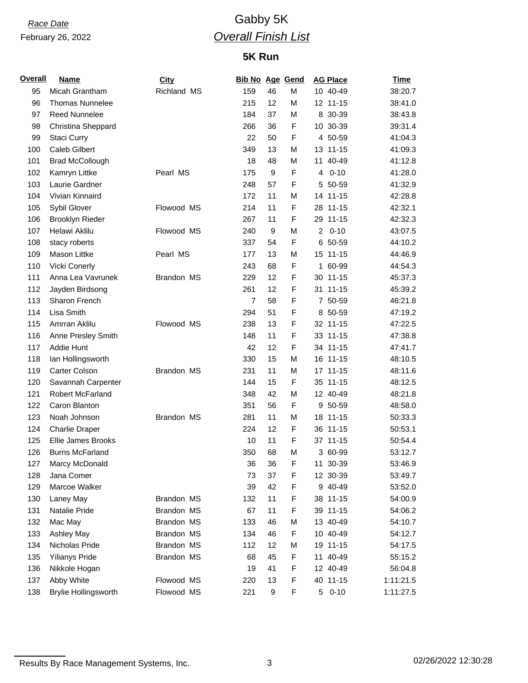# *Race Date* Gabby 5K *Overall Finish List*

## **5K Run**

| Overall | <b>Name</b>                 | <b>City</b> | <b>Bib No Age Gend</b> |    |             | <b>AG Place</b>            | <u>Time</u> |
|---------|-----------------------------|-------------|------------------------|----|-------------|----------------------------|-------------|
| 95      | Micah Grantham              | Richland MS | 159                    | 46 | M           | 10 40-49                   | 38:20.7     |
| 96      | <b>Thomas Nunnelee</b>      |             | 215                    | 12 | M           | 12 11-15                   | 38:41.0     |
| 97      | <b>Reed Nunnelee</b>        |             | 184                    | 37 | M           | 8 30-39                    | 38:43.8     |
| 98      | Christina Sheppard          |             | 266                    | 36 | F           | 10 30-39                   | 39:31.4     |
| 99      | Staci Curry                 |             | 22                     | 50 | F           | 4 50-59                    | 41:04.3     |
| 100     | <b>Caleb Gilbert</b>        |             | 349                    | 13 | M           | 13 11-15                   | 41:09.3     |
| 101     | <b>Brad McCollough</b>      |             | 18                     | 48 | M           | 11 40-49                   | 41:12.8     |
| 102     | Kamryn Littke               | Pearl MS    | 175                    | 9  | F           | $0 - 10$<br>4              | 41:28.0     |
| 103     | Laurie Gardner              |             | 248                    | 57 | F           | 5 50-59                    | 41:32.9     |
| 104     | Vivian Kinnaird             |             | 172                    | 11 | M           | 14 11-15                   | 42:28.8     |
| 105     | Sybil Glover                | Flowood MS  | 214                    | 11 | F           | 28 11-15                   | 42:32.1     |
| 106     | <b>Brooklyn Rieder</b>      |             | 267                    | 11 | F           | 29 11-15                   | 42:32.3     |
| 107     | Helawi Aklilu               | Flowood MS  | 240                    | 9  | M           | $\overline{a}$<br>$0 - 10$ | 43:07.5     |
| 108     | stacy roberts               |             | 337                    | 54 | F           | 6 50-59                    | 44:10.2     |
| 109     | Mason Littke                | Pearl MS    | 177                    | 13 | M           | 15 11-15                   | 44:46.9     |
| 110     | <b>Vicki Conerly</b>        |             | 243                    | 68 | F           | 1 60-99                    | 44:54.3     |
| 111     | Anna Lea Vavrunek           | Brandon MS  | 229                    | 12 | F           | 30 11-15                   | 45:37.3     |
| 112     | Jayden Birdsong             |             | 261                    | 12 | F           | 31 11-15                   | 45:39.2     |
| 113     | Sharon French               |             | $\overline{7}$         | 58 | F           | 7 50-59                    | 46:21.8     |
| 114     | Lisa Smith                  |             | 294                    | 51 | F           | 8 50-59                    | 47:19.2     |
| 115     | Amrran Aklilu               | Flowood MS  | 238                    | 13 | F           | 32 11-15                   | 47:22.5     |
| 116     | Anne Presley Smith          |             | 148                    | 11 | F           | 33 11-15                   | 47:38.8     |
| 117     | Addie Hunt                  |             | 42                     | 12 | F           | 34 11-15                   | 47:41.7     |
| 118     | lan Hollingsworth           |             | 330                    | 15 | M           | 16 11-15                   | 48:10.5     |
| 119     | Carter Colson               | Brandon MS  | 231                    | 11 | M           | 17 11-15                   | 48:11.6     |
| 120     | Savannah Carpenter          |             | 144                    | 15 | F           | 35 11-15                   | 48:12.5     |
| 121     | Robert McFarland            |             | 348                    | 42 | M           | 12 40-49                   | 48:21.8     |
| 122     | Caron Blanton               |             | 351                    | 56 | F           | 9 50-59                    | 48:58.0     |
| 123     | Noah Johnson                | Brandon MS  | 281                    | 11 | M           | 18 11-15                   | 50:33.3     |
| 124     | <b>Charlie Draper</b>       |             | 224                    | 12 | $\mathsf F$ | 36 11-15                   | 50:53.1     |
| 125     | Ellie James Brooks          |             | 10                     | 11 | F           | 37 11-15                   | 50:54.4     |
| 126     | <b>Burns McFarland</b>      |             | 350                    | 68 | M           | 3 60-99                    | 53:12.7     |
| 127     | Marcy McDonald              |             | 36                     | 36 | F           | 11 30-39                   | 53:46.9     |
| 128     | Jana Comer                  |             | 73                     | 37 | F           | 12 30-39                   | 53:49.7     |
| 129     | Marcoe Walker               |             | 39                     | 42 | F           | 9 40-49                    | 53:52.0     |
| 130     | Laney May                   | Brandon MS  | 132                    | 11 | F           | 38 11-15                   | 54:00.9     |
| 131     | Natalie Pride               | Brandon MS  | 67                     | 11 | F           | 39 11-15                   | 54:06.2     |
| 132     | Mac May                     | Brandon MS  | 133                    | 46 | М           | 13 40-49                   | 54:10.7     |
| 133     | Ashley May                  | Brandon MS  | 134                    | 46 | F           | 10 40-49                   | 54:12.7     |
| 134     | Nicholas Pride              | Brandon MS  | 112                    | 12 | M           | 19 11-15                   | 54:17.5     |
| 135     | <b>Yilianys Pride</b>       | Brandon MS  | 68                     | 45 | F           | 11 40-49                   | 55:15.2     |
| 136     | Nikkole Hogan               |             | 19                     | 41 | F           | 12 40-49                   | 56:04.8     |
| 137     | Abby White                  | Flowood MS  | 220                    | 13 | F           | 40 11-15                   | 1:11:21.5   |
| 138     | <b>Brylie Hollingsworth</b> | Flowood MS  | 221                    | 9  | F           | 5 0-10                     | 1:11:27.5   |

Results By Race Management Systems, Inc. 3 3 02/26/2022 12:30:28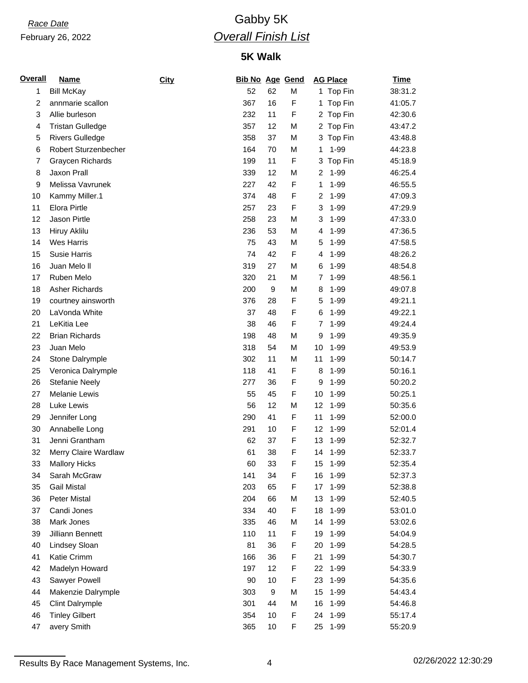# *Race Date* Gabby 5K *Overall Finish List*

## **5K Walk**

| <b>Name</b>             | City |     |    |   | <b>AG Place</b>             | <b>Time</b> |
|-------------------------|------|-----|----|---|-----------------------------|-------------|
| <b>Bill McKay</b>       |      | 52  | 62 | M | 1 Top Fin                   | 38:31.2     |
| annmarie scallon        |      | 367 | 16 | F | Top Fin<br>1.               | 41:05.7     |
| Allie burleson          |      | 232 | 11 | F | 2 Top Fin                   | 42:30.6     |
| <b>Tristan Gulledge</b> |      | 357 | 12 | M | 2 Top Fin                   | 43:47.2     |
| <b>Rivers Gulledge</b>  |      | 358 | 37 | M | Top Fin<br>3                | 43:48.8     |
| Robert Sturzenbecher    |      | 164 | 70 | M | $1 - 99$<br>1               | 44:23.8     |
| Graycen Richards        |      | 199 | 11 | F | Top Fin<br>3                | 45:18.9     |
| Jaxon Prall             |      | 339 | 12 | M | $1 - 99$<br>2               | 46:25.4     |
| Melissa Vavrunek        |      | 227 | 42 | F | $1 - 99$<br>1               | 46:55.5     |
| Kammy Miller.1          |      | 374 | 48 | F | $1 - 99$<br>2               | 47:09.3     |
| <b>Elora Pirtle</b>     |      | 257 | 23 | F | 3<br>$1 - 99$               | 47:29.9     |
| Jason Pirtle            |      | 258 | 23 | M | $1 - 99$<br>3               | 47:33.0     |
| Hiruy Aklilu            |      | 236 | 53 | M | 1-99<br>4                   | 47:36.5     |
| <b>Wes Harris</b>       |      | 75  | 43 | M | 5<br>$1 - 99$               | 47:58.5     |
| Susie Harris            |      | 74  | 42 | F | $1 - 99$<br>4               | 48:26.2     |
| Juan Melo II            |      | 319 | 27 | M | $1 - 99$<br>6               | 48:54.8     |
| Ruben Melo              |      | 320 | 21 | M | $1 - 99$<br>7               | 48:56.1     |
| <b>Asher Richards</b>   |      | 200 | 9  | M | $1 - 99$<br>8               | 49:07.8     |
| courtney ainsworth      |      | 376 | 28 | F | 1-99<br>5                   | 49:21.1     |
| LaVonda White           |      | 37  | 48 | F | $1 - 99$<br>6               | 49:22.1     |
| LeKitia Lee             |      | 38  | 46 | F | 1-99<br>7                   | 49:24.4     |
| <b>Brian Richards</b>   |      | 198 | 48 | M | $1 - 99$<br>9               | 49:35.9     |
| Juan Melo               |      | 318 | 54 | M | 10<br>$1 - 99$              | 49:53.9     |
| Stone Dalrymple         |      | 302 | 11 | M | 11<br>$1 - 99$              | 50:14.7     |
| Veronica Dalrymple      |      | 118 | 41 | F | $1 - 99$<br>8               | 50:16.1     |
| <b>Stefanie Neely</b>   |      | 277 | 36 | F | $1 - 99$<br>9               | 50:20.2     |
| <b>Melanie Lewis</b>    |      | 55  | 45 | F | 1-99<br>10                  | 50:25.1     |
| Luke Lewis              |      | 56  | 12 | М | 12<br>$1 - 99$              | 50:35.6     |
| Jennifer Long           |      | 290 | 41 | F | 11<br>1-99                  | 52:00.0     |
| Annabelle Long          |      | 291 | 10 | F | 12<br>$1 - 99$              | 52:01.4     |
| Jenni Grantham          |      | 62  | 37 | F | 13<br>$1 - 99$              | 52:32.7     |
| Merry Claire Wardlaw    |      | 61  | 38 | F | 1-99<br>14                  | 52:33.7     |
| <b>Mallory Hicks</b>    |      | 60  | 33 | F | 15 <sub>1</sub><br>$1 - 99$ | 52:35.4     |
| Sarah McGraw            |      | 141 | 34 | F | 16<br>1-99                  | 52:37.3     |
| <b>Gail Mistal</b>      |      | 203 | 65 | F | $1 - 99$<br>17              | 52:38.8     |
| Peter Mistal            |      | 204 | 66 | M | $1 - 99$<br>13              | 52:40.5     |
| Candi Jones             |      | 334 | 40 | F | 18<br>1-99                  | 53:01.0     |
| Mark Jones              |      | 335 | 46 | М | 14<br>1-99                  | 53:02.6     |
| Jilliann Bennett        |      | 110 | 11 | F | 19<br>1-99                  | 54:04.9     |
| Lindsey Sloan           |      | 81  | 36 | F | $1 - 99$<br>20              | 54:28.5     |
| Katie Crimm             |      | 166 | 36 | F | $1 - 99$<br>21              | 54:30.7     |
| Madelyn Howard          |      | 197 | 12 | F | $1 - 99$<br>22              | 54:33.9     |
| Sawyer Powell           |      | 90  | 10 | F | 23<br>1-99                  | 54:35.6     |
| Makenzie Dalrymple      |      | 303 | 9  | M | 15<br>$1 - 99$              | 54:43.4     |
| <b>Clint Dalrymple</b>  |      | 301 | 44 | M | 16<br>1-99                  | 54:46.8     |
| <b>Tinley Gilbert</b>   |      | 354 | 10 | F | $1 - 99$<br>24              | 55:17.4     |
| avery Smith             |      | 365 | 10 | F | 25<br>1-99                  | 55:20.9     |
|                         |      |     |    |   | <b>Bib No Age Gend</b>      |             |

Results By Race Management Systems, Inc. 4 02/26/2022 12:30:29